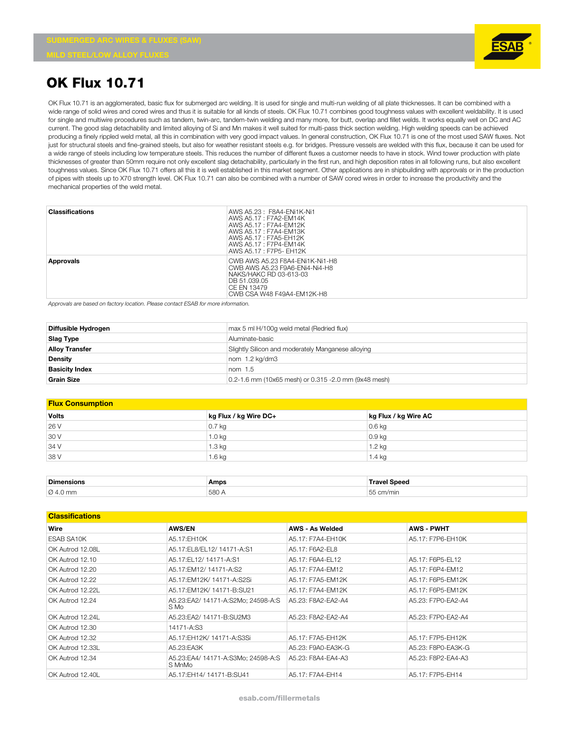**MILD STEEL/LOW ALLOY FLUXES**



## **OK Flux 10.71**

OK Flux 10.71 is an agglomerated, basic flux for submerged arc welding. It is used for single and multi-run welding of all plate thicknesses. It can be combined with a wide range of solid wires and cored wires and thus it is suitable for all kinds of steels. OK Flux 10.71 combines good toughness values with excellent weldability. It is used for single and multiwire procedures such as tandem, twin-arc, tandem-twin welding and many more, for butt, overlap and fillet welds. It works equally well on DC and AC current. The good slag detachability and limited alloying of Si and Mn makes it well suited for multi-pass thick section welding. High welding speeds can be achieved producing a finely rippled weld metal, all this in combination with very good impact values. In general construction, OK Flux 10.71 is one of the most used SAW fluxes. Not just for structural steels and fine-grained steels, but also for weather resistant steels e.g. for bridges. Pressure vessels are welded with this flux, because it can be used for a wide range of steels including low temperature steels. This reduces the number of different fluxes a customer needs to have in stock. Wind tower production with plate thicknesses of greater than 50mm require not only excellent slag detachability, particularly in the first run, and high deposition rates in all following runs, but also excellent toughness values. Since OK Flux 10.71 offers all this it is well established in this market segment. Other applications are in shipbuilding with approvals or in the production of pipes with steels up to X70 strength level. OK Flux 10.71 can also be combined with a number of SAW cored wires in order to increase the productivity and the mechanical properties of the weld metal.

| <b>Classifications</b> | AWS A5.23 : F8A4-ENi1K-Ni1<br>AWS A5.17: F7A2-EM14K<br>AWS A5.17: F7A4-EM12K<br>AWS A5.17 : F7A4-EM13K<br>AWS A5.17 : F7A5-FH12K<br>AWS A5.17 : F7P4-EM14K<br>AWS A5.17 : F7P5- EH12K |
|------------------------|---------------------------------------------------------------------------------------------------------------------------------------------------------------------------------------|
| Approvals              | CWB AWS A5.23 F8A4-ENi1K-Ni1-H8<br>CWB AWS A5.23 F9A6-ENi4-Ni4-H8<br>NAKS/HAKC RD 03-613-03<br>DB 51.039.05<br>CE EN 13479<br>CWB CSA W48 F49A4-EM12K-H8                              |

*Approvals are based on factory location. Please contact ESAB for more information.*

| Diffusible Hydrogen   | max 5 ml H/100g weld metal (Redried flux)            |
|-----------------------|------------------------------------------------------|
| Slag Type             | Aluminate-basic                                      |
| <b>Alloy Transfer</b> | Slightly Silicon and moderately Manganese alloying   |
| Density               | nom 1.2 kg/dm3                                       |
| <b>Basicity Index</b> | nom $1.5$                                            |
| <b>Grain Size</b>     | 0.2-1.6 mm (10x65 mesh) or 0.315 -2.0 mm (9x48 mesh) |

## **Flux Consumption**

| <b>Volts</b> | kg Flux / kg Wire DC+ | kg Flux / kg Wire AC |
|--------------|-----------------------|----------------------|
| 26 V         | $0.7$ kg              | $0.6$ kg             |
| 30 V         | $1.0$ kg              | $0.9$ kg             |
| 34 V         | $1.3 \text{ kg}$      | 1.2 kg               |
| 38 V         | 1.6 <sub>kq</sub>     | 1.4 kg               |

| <b>Dimensions</b>    | Amps  | Travel Sneed         |
|----------------------|-------|----------------------|
| $\varnothing$ 4.0 mm | 580 / | $ -$<br>$\sim$ m/min |

## **Classifications**

| Wire             | <b>AWS/EN</b>                                | <b>AWS - As Welded</b> | <b>AWS - PWHT</b>  |
|------------------|----------------------------------------------|------------------------|--------------------|
| ESAB SA10K       | A5.17:EH10K                                  | A5.17: F7A4-EH10K      | A5.17: F7P6-EH10K  |
| OK Autrod 12.08L | A5.17:EL8/EL12/14171-A:S1                    | A5.17: F6A2-EL8        |                    |
| OK Autrod 12.10  | A5.17:EL12/14171-A:S1                        | A5.17: F6A4-EL12       | A5.17: F6P5-EL12   |
| OK Autrod 12.20  | A5.17:EM12/14171-A:S2                        | A5.17: F7A4-FM12       | A5.17: F6P4-FM12   |
| OK Autrod 12.22  | A5.17:EM12K/ 14171-A:S2Si                    | A5.17: F7A5-EM12K      | A5.17: F6P5-EM12K  |
| OK Autrod 12.22L | A5.17: EM12K / 14171- B: SU21                | A5.17: F7A4-EM12K      | A5.17: F6P5-EM12K  |
| OK Autrod 12.24  | A5.23:EA2/ 14171-A:S2Mo; 24598-A:S<br>S Mo   | A5.23: F8A2-FA2-A4     | A5.23: F7P0-EA2-A4 |
| OK Autrod 12.24L | A5.23:EA2/ 14171-B:SU2M3                     | A5.23: F8A2-EA2-A4     | A5.23: F7P0-EA2-A4 |
| OK Autrod 12.30  | 14171-A:S3                                   |                        |                    |
| OK Autrod 12.32  | A5.17:EH12K/ 14171-A:S3Si                    | A5.17: F7A5-EH12K      | A5.17: F7P5-EH12K  |
| OK Autrod 12.33L | A5.23:EA3K                                   | A5.23: F9A0-EA3K-G     | A5.23: F8P0-EA3K-G |
| OK Autrod 12.34  | A5.23:EA4/ 14171-A:S3Mo: 24598-A:S<br>S MnMo | A5.23: F8A4-FA4-A3     | A5.23: F8P2-FA4-A3 |
| OK Autrod 12.40L | A5.17:EH14/ 14171-B:SU41                     | A5.17: F7A4-EH14       | A5.17: F7P5-EH14   |